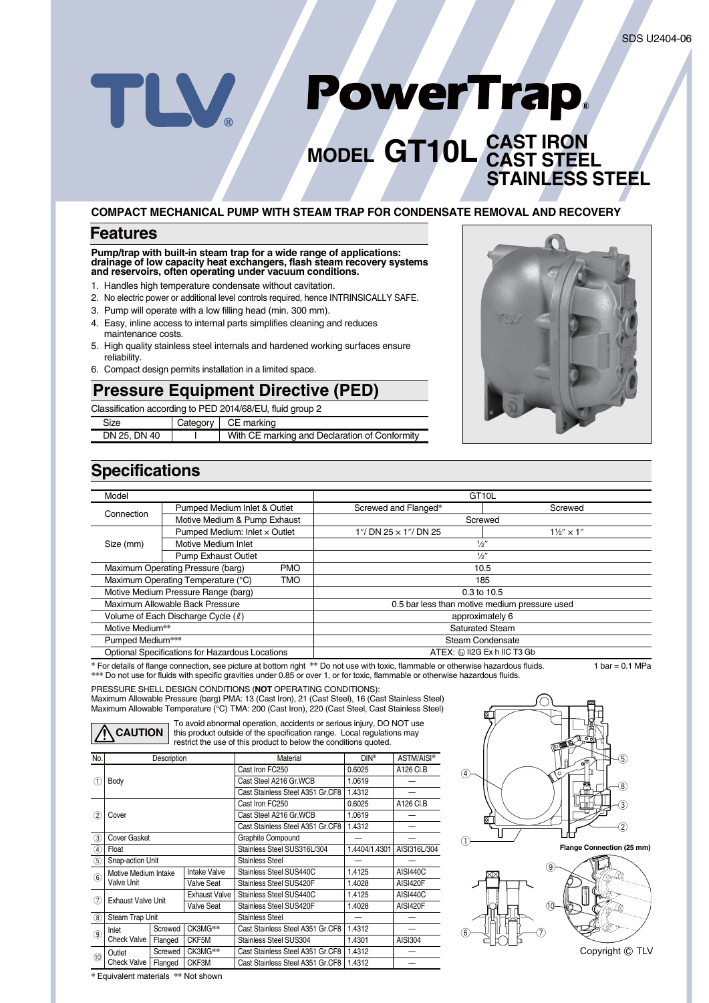# PowerTrap. TLV

# **MODEL GT10L CAST IRON CAST STEEL STAINLESS STEEL**

#### **COMPACT MECHANICAL PUMP WITH STEAM TRAP FOR CONDENSATE REMOVAL AND RECOVERY**

### **Features**

#### **Pump/trap with built-in steam trap for a wide range of applications: drainage of low capacity heat exchangers, flash steam recovery systems and reservoirs, often operating under vacuum conditions.**

- 1. Handles high temperature condensate without cavitation.
- 2. No electric power or additional level controls required, hence INTRINSICALLY SAFE.
- 3. Pump will operate with a low filling head (min. 300 mm).
- 4. Easy, inline access to internal parts simplifies cleaning and reduces
- maintenance costs. 5. High quality stainless steel internals and hardened working surfaces ensure reliability.
- 6. Compact design permits installation in a limited space.

## **Pressure Equipment Directive (PED)**

Classification according to PED 2014/68/EU, fluid group 2

| Size         | Category   CE marking                         |
|--------------|-----------------------------------------------|
| DN 25, DN 40 | With CE marking and Declaration of Conformity |
|              |                                               |



## **Specifications**

| Model                                           |                                     | GT <sub>10</sub> L          |                                               |                            |  |
|-------------------------------------------------|-------------------------------------|-----------------------------|-----------------------------------------------|----------------------------|--|
| Connection                                      | Pumped Medium Inlet & Outlet        |                             | Screwed and Flanged*                          | Screwed                    |  |
|                                                 | Motive Medium & Pump Exhaust        |                             | Screwed                                       |                            |  |
| Size (mm)                                       | Pumped Medium: Inlet x Outlet       |                             | 1"/ DN 25 $\times$ 1"/ DN 25                  | $1\frac{1}{2}$ $\times$ 1" |  |
|                                                 | Motive Medium Inlet                 |                             | 1/2''                                         |                            |  |
|                                                 | <b>Pump Exhaust Outlet</b>          |                             | 1/2''                                         |                            |  |
|                                                 | Maximum Operating Pressure (barg)   | <b>PMO</b>                  | 10.5                                          |                            |  |
|                                                 | Maximum Operating Temperature (°C)  | TMO<br>185                  |                                               |                            |  |
|                                                 | Motive Medium Pressure Range (barg) |                             | 0.3 to 10.5                                   |                            |  |
|                                                 | Maximum Allowable Back Pressure     |                             | 0.5 bar less than motive medium pressure used |                            |  |
| Volume of Each Discharge Cycle (2)              |                                     | approximately 6             |                                               |                            |  |
| Motive Medium**                                 |                                     |                             | <b>Saturated Steam</b>                        |                            |  |
| Pumped Medium***                                |                                     | Steam Condensate            |                                               |                            |  |
| Optional Specifications for Hazardous Locations |                                     | ATEX: @ II2G Ex h IIC T3 Gb |                                               |                            |  |

For details of flange connection, see picture at bottom right \*\* Do not use with toxic, flammable or otherwise hazardous fluids. 1 bar = 0.1 MPa **\*\*\*** Do not use for fluids with specific gravities under 0.85 or over 1, or for toxic, flammable or otherwise hazardous fluids.

PRESSURE SHELL DESIGN CONDITIONS (**NOT** OPERATING CONDITIONS): Maximum Allowable Pressure (barg) PMA: 13 (Cast Iron), 21 (Cast Steel), 16 (Cast Stainless Steel) Maximum Allowable Temperature (°C) TMA: 200 (Cast Iron), 220 (Cast Steel, Cast Stainless Steel)

**CAUTION**

To avoid abnormal operation, accidents or serious injury, DO NOT use this product outside of the specification range. Local regulations may restrict the use of this product to below the conditions quoted.

| No.               | Description                               |         |                   | Material                         | DIN*          | ASTM/AISI*      |
|-------------------|-------------------------------------------|---------|-------------------|----------------------------------|---------------|-----------------|
| Œ                 | Body                                      |         |                   | Cast Iron FC250                  | 0.6025        | A126 CLB        |
|                   |                                           |         |                   | Cast Steel A216 Gr. WCB          | 1.0619        |                 |
|                   |                                           |         |                   | Cast Stainless Steel A351 Gr.CF8 | 1.4312        |                 |
| (2)               |                                           |         |                   | Cast Iron FC250                  | 0.6025        | A126 CI.B       |
|                   | Cover                                     |         |                   | Cast Steel A216 Gr. WCB          | 1.0619        |                 |
|                   |                                           |         |                   | Cast Stainless Steel A351 Gr.CF8 | 1.4312        |                 |
| 3                 | <b>Cover Gasket</b>                       |         |                   | Graphite Compound                |               |                 |
| $\left( 4\right)$ | Float                                     |         |                   | Stainless Steel SUS316L/304      | 1.4404/1.4301 | AISI316L/304    |
| (5)               | Snap-action Unit                          |         |                   | <b>Stainless Steel</b>           |               |                 |
| 6                 | Motive Medium Intake<br><b>Valve Unit</b> |         | Intake Valve      | Stainless Steel SUS440C          | 1.4125        | <b>AISI440C</b> |
|                   |                                           |         | <b>Valve Seat</b> | Stainless Steel SUS420F          | 1.4028        | AISI420F        |
| 7                 | Exhaust Valve Unit                        |         | Exhaust Valve     | Stainless Steel SUS440C          | 1.4125        | <b>AISI440C</b> |
|                   |                                           |         | <b>Valve Seat</b> | Stainless Steel SUS420F          | 1.4028        | AISI420F        |
| (8)               | Steam Trap Unit                           |         |                   | Stainless Steel                  |               |                 |
| ⊚                 | Inlet<br><b>Check Valve</b>               | Screwed | CK3MG**           | Cast Stainless Steel A351 Gr.CF8 | 1.4312        |                 |
|                   |                                           | Flanged | CKF5M             | Stainless Steel SUS304           | 1.4301        | AISI304         |
| (10)              | Outlet                                    | Screwed | CK3MG**           | Cast Stainless Steel A351 Gr.CF8 | 1.4312        |                 |
|                   | <b>Check Valve</b>                        | Flanged | CKF3M             | Cast Stainless Steel A351 Gr.CF8 | 1.4312        |                 |





**\*** Equivalent materials **\*\*** Not shown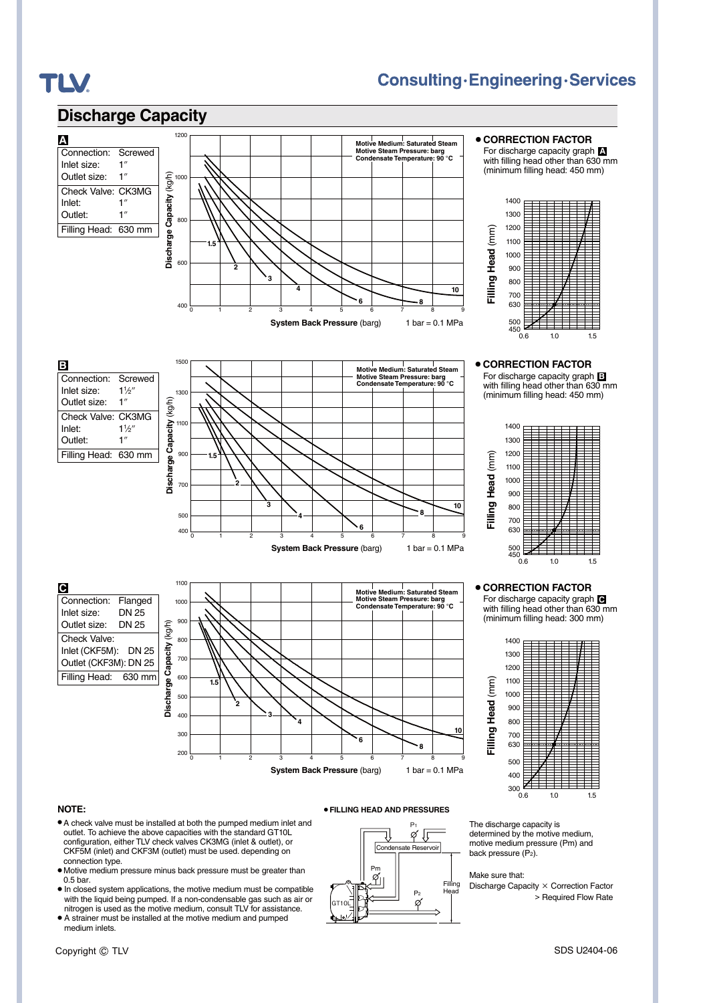## **Discharge Capacity**

## **Consulting.Engineering.Services**



¡**CORRECTION FACTOR** For discharge capacity graph **A** with filling head other than 630 mm



¡**CORRECTION FACTOR** For discharge capacity graph **B** with filling head other than 630 mm (minimum filling head: 450 mm)



#### ¡**CORRECTION FACTOR**

For discharge capacity graph **C** with filling head other than 630 mm (minimum filling head: 300 mm)



#### **NOTE:**

¡A check valve must be installed at both the pumped medium inlet and outlet. To achieve the above capacities with the standard GT10L configuration, either TLV check valves CK3MG (inlet & outlet), or CKF5M (inlet) and CKF3M (outlet) must be used. depending on connection type.

**Discharge Capacity** (kg/h)

Discharge

Capacity

 $(kg/h)$ 

**1.5**

**2**

**Discharge Capacity** (kg/h)

arge Capacity

Discha

(kg/h)

1500

1300

1100

900

**1.5**

**2**

**3**

700

500 400

Connection: Flanged<br>Inlet size: DN 25

Connection: Screwed Inlet size:  $1\frac{1}{2}$ <br>Outlet size:  $1''$ Outlet size:

Check Valve: CK3MG<br>Inlet: 1½"

Outlet: 1" Filling Head: 630 mm

Inlet:

**B**

**A**

**TLV.** 

Outlet size: DN 25 Check Valve: Inlet (CKF5M): DN 25 Outlet (CKF3M): DN 25 Filling Head: 630 mm

Inlet size:

**C**

- Motive medium pressure minus back pressure must be greater than 0.5 bar.
- In closed system applications, the motive medium must be compatible with the liquid being pumped. If a non-condensable gas such as air or nitrogen is used as the motive medium, consult TLV for assistance.
- $\bullet$  A strainer must be installed at the motive medium and pumped medium inlets.



¡**FILLING HEAD AND PRESSURES**

**System Back Pressure** (barg) 1 bar = 0.1 MPa

**<sup>6</sup> <sup>8</sup>**

**10**

**Motive Medium: Saturated Steam Motive Steam Pressure: barg Condensate Temperature: 90 °C**

**<sup>8</sup> <sup>10</sup>**

**Motive Medium: Saturated Steam Motive Steam Pressure: barg Condensate Temperature: 90 °C**

200 <del>0 1 2 3 4 5 6 7 8 9</del>

01 2 3 4 5 6 7 8 9

**4**

**6**

**System Back Pressure** (barg) 1 bar = 0.1 MPa

**4**

**3**

The discharge capacity is determined by the motive medium, motive medium pressure (Pm) and back pressure  $(P_2)$ .

Make sure that:

Discharge Capacity × Correction Factor > Required Flow Rate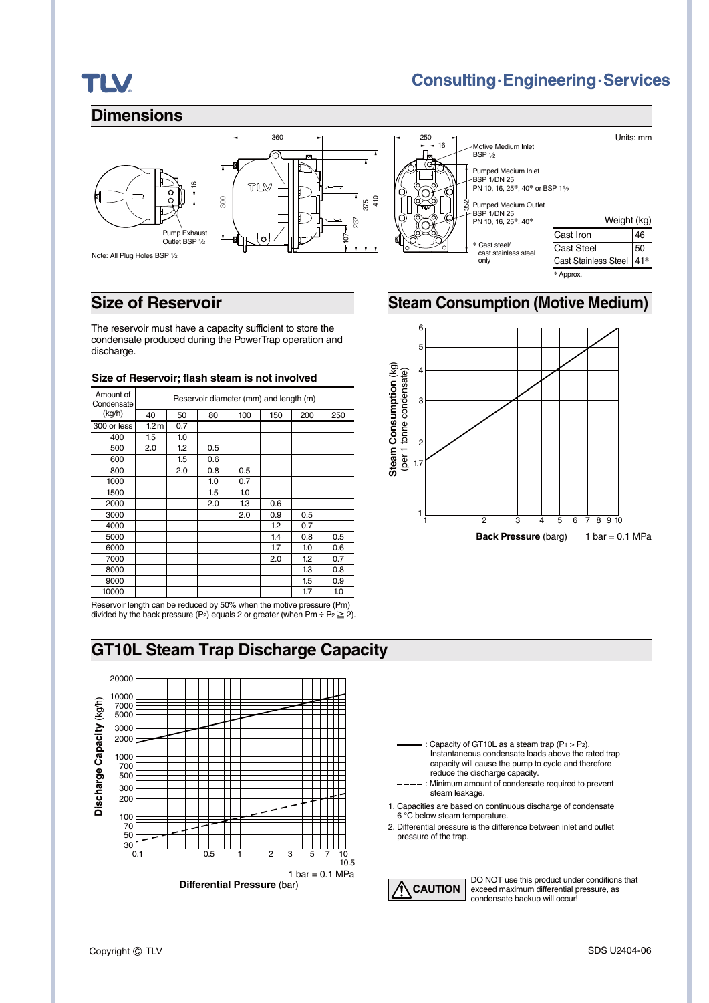# **TLV.**

## **Consulting·Engineering·Services**

Units: mm

46 50

### **Dimensions**



Note: All Plug Holes BSP 1⁄2



Weight (kg) Cast Iron Cast Steel Cast Stainless Steel 41**\*** Pumped Medium Outlet BSP 1/DN 25 PN 10, 16, 25**\***, 40**\* \*** Cast steel/ cast stainless steel only Pumped Medium Inlet  $-BSP$  1/DN 25 PN 10, 16, 25**\***, 40**\*** or BSP 11⁄2 Motive Medium Inlet **BSP 1/2** 16 352

### **Size of Reservoir Steam Consumption (Motive Medium)**

The reservoir must have a capacity sufficient to store the condensate produced during the PowerTrap operation and discharge.

#### **Size of Reservoir; flash steam is not involved**

| Amount of<br>Condensate | Reservoir diameter (mm) and length (m) |     |     |     |     |     |     |
|-------------------------|----------------------------------------|-----|-----|-----|-----|-----|-----|
| (kg/h)                  | 40                                     | 50  | 80  | 100 | 150 | 200 | 250 |
| 300 or less             | 1.2 <sub>m</sub>                       | 0.7 |     |     |     |     |     |
| 400                     | 1.5                                    | 1.0 |     |     |     |     |     |
| 500                     | 2.0                                    | 1.2 | 0.5 |     |     |     |     |
| 600                     |                                        | 1.5 | 0.6 |     |     |     |     |
| 800                     |                                        | 2.0 | 0.8 | 0.5 |     |     |     |
| 1000                    |                                        |     | 1.0 | 0.7 |     |     |     |
| 1500                    |                                        |     | 1.5 | 1.0 |     |     |     |
| 2000                    |                                        |     | 2.0 | 1.3 | 0.6 |     |     |
| 3000                    |                                        |     |     | 2.0 | 0.9 | 0.5 |     |
| 4000                    |                                        |     |     |     | 1.2 | 0.7 |     |
| 5000                    |                                        |     |     |     | 1.4 | 0.8 | 0.5 |
| 6000                    |                                        |     |     |     | 1.7 | 1.0 | 0.6 |
| 7000                    |                                        |     |     |     | 2.0 | 1.2 | 0.7 |
| 8000                    |                                        |     |     |     |     | 1.3 | 0.8 |
| 9000                    |                                        |     |     |     |     | 1.5 | 0.9 |
| 10000                   |                                        |     |     |     |     | 1.7 | 1.0 |
|                         |                                        |     |     |     |     |     |     |

Reservoir length can be reduced by 50% when the motive pressure (Pm) divided by the back pressure (P<sub>2</sub>) equals 2 or greater (when Pm ÷ P<sub>2</sub>  $\geq$  2).

## **GT10L Steam Trap Discharge Capacity**





**\*** Approx.



- Capacity of GT10L as a steam trap  $(P_1 > P_2)$ . Instantaneous condensate loads above the rated trap capacity will cause the pump to cycle and therefore reduce the discharge capacity.
- ---- : Minimum amount of condensate required to prevent steam leakage.
- 1. Capacities are based on continuous discharge of condensate 6 °C below steam temperature.
- 2. Differential pressure is the difference between inlet and outlet pressure of the trap.



DO NOT use this product under conditions that exceed maximum differential pressure, as condensate backup will occur!